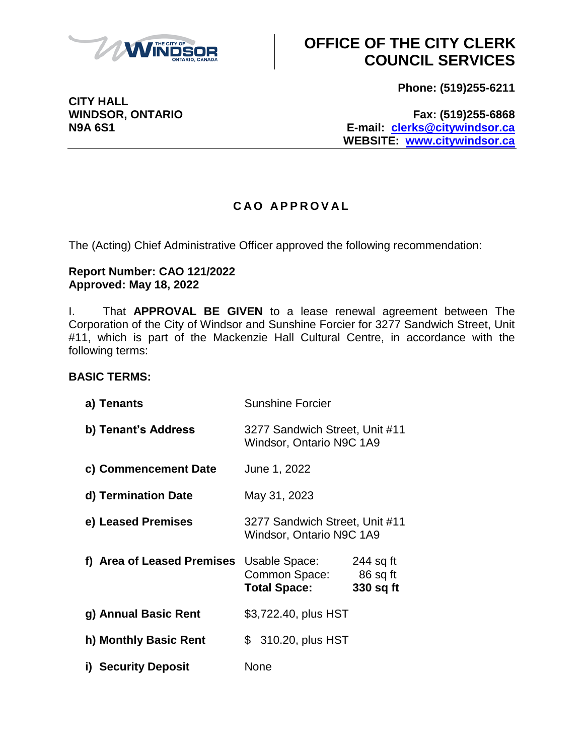

**CITY HALL**

# **OFFICE OF THE CITY CLERK COUNCIL SERVICES**

**Phone: (519)255-6211**

**WINDSOR, ONTARIO Fax: (519)255-6868 N9A 6S1 E-mail: [clerks@citywindsor.ca](mailto:clerks@citywindsor.ca) WEBSITE: [www.citywindsor.ca](http://www.citywindsor.ca/)**

### **C A O A P P R O V A L**

The (Acting) Chief Administrative Officer approved the following recommendation:

#### **Report Number: CAO 121/2022 Approved: May 18, 2022**

I. That **APPROVAL BE GIVEN** to a lease renewal agreement between The Corporation of the City of Windsor and Sunshine Forcier for 3277 Sandwich Street, Unit #11, which is part of the Mackenzie Hall Cultural Centre, in accordance with the following terms:

### **BASIC TERMS:**

| a) Tenants                 | <b>Sunshine Forcier</b>                                    |                                    |
|----------------------------|------------------------------------------------------------|------------------------------------|
| b) Tenant's Address        | 3277 Sandwich Street, Unit #11<br>Windsor, Ontario N9C 1A9 |                                    |
| c) Commencement Date       | June 1, 2022                                               |                                    |
| d) Termination Date        | May 31, 2023                                               |                                    |
| e) Leased Premises         | 3277 Sandwich Street, Unit #11<br>Windsor, Ontario N9C 1A9 |                                    |
| f) Area of Leased Premises | Usable Space:<br>Common Space:<br><b>Total Space:</b>      | 244 sq ft<br>86 sq ft<br>330 sq ft |
| g) Annual Basic Rent       | \$3,722.40, plus HST                                       |                                    |
| h) Monthly Basic Rent      | \$ 310.20, plus HST                                        |                                    |
| i) Security Deposit        | None                                                       |                                    |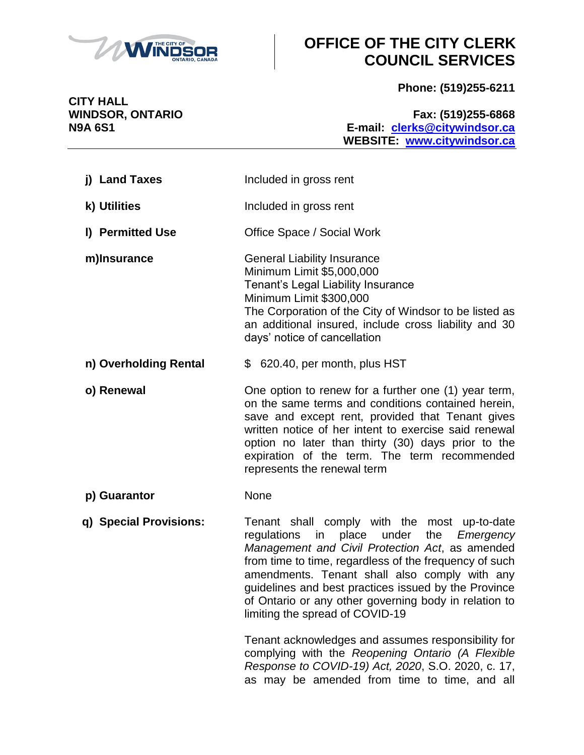

# **OFFICE OF THE CITY CLERK COUNCIL SERVICES**

**Phone: (519)255-6211**

**CITY HALL**

**WINDSOR, ONTARIO Fax: (519)255-6868 N9A 6S1 E-mail: [clerks@citywindsor.ca](mailto:clerks@citywindsor.ca) WEBSITE: [www.citywindsor.ca](http://www.citywindsor.ca/)**

| j) Land Taxes          | Included in gross rent                                                                                                                                                                                                                                                                                                                                                                                                 |
|------------------------|------------------------------------------------------------------------------------------------------------------------------------------------------------------------------------------------------------------------------------------------------------------------------------------------------------------------------------------------------------------------------------------------------------------------|
| k) Utilities           | Included in gross rent                                                                                                                                                                                                                                                                                                                                                                                                 |
| I) Permitted Use       | Office Space / Social Work                                                                                                                                                                                                                                                                                                                                                                                             |
| m)Insurance            | <b>General Liability Insurance</b><br>Minimum Limit \$5,000,000<br>Tenant's Legal Liability Insurance<br>Minimum Limit \$300,000<br>The Corporation of the City of Windsor to be listed as<br>an additional insured, include cross liability and 30<br>days' notice of cancellation                                                                                                                                    |
| n) Overholding Rental  | \$ 620.40, per month, plus HST                                                                                                                                                                                                                                                                                                                                                                                         |
| o) Renewal             | One option to renew for a further one (1) year term,<br>on the same terms and conditions contained herein,<br>save and except rent, provided that Tenant gives<br>written notice of her intent to exercise said renewal<br>option no later than thirty (30) days prior to the<br>expiration of the term. The term recommended<br>represents the renewal term                                                           |
| p) Guarantor           | None                                                                                                                                                                                                                                                                                                                                                                                                                   |
| q) Special Provisions: | Tenant shall comply with the most up-to-date<br>regulations<br>in<br>place under<br>the<br>Emergency<br>Management and Civil Protection Act, as amended<br>from time to time, regardless of the frequency of such<br>amendments. Tenant shall also comply with any<br>guidelines and best practices issued by the Province<br>of Ontario or any other governing body in relation to<br>limiting the spread of COVID-19 |
|                        | Tenant acknowledges and assumes responsibility for<br>complying with the Reopening Ontario (A Flexible                                                                                                                                                                                                                                                                                                                 |

*Response to COVID-19) Act, 2020*, S.O. 2020, c. 17, as may be amended from time to time, and all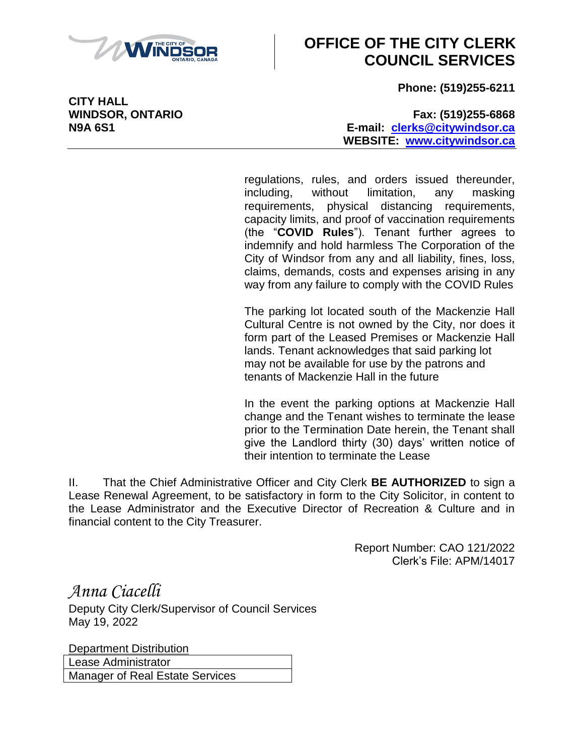

### **OFFICE OF THE CITY CLERK COUNCIL SERVICES**

**Phone: (519)255-6211**

**WINDSOR, ONTARIO Fax: (519)255-6868 N9A 6S1 E-mail: [clerks@citywindsor.ca](mailto:clerks@citywindsor.ca) WEBSITE: [www.citywindsor.ca](http://www.citywindsor.ca/)**

> regulations, rules, and orders issued thereunder, including, without limitation, any masking requirements, physical distancing requirements, capacity limits, and proof of vaccination requirements (the "**COVID Rules**"). Tenant further agrees to indemnify and hold harmless The Corporation of the City of Windsor from any and all liability, fines, loss, claims, demands, costs and expenses arising in any way from any failure to comply with the COVID Rules

> The parking lot located south of the Mackenzie Hall Cultural Centre is not owned by the City, nor does it form part of the Leased Premises or Mackenzie Hall lands. Tenant acknowledges that said parking lot may not be available for use by the patrons and tenants of Mackenzie Hall in the future

> In the event the parking options at Mackenzie Hall change and the Tenant wishes to terminate the lease prior to the Termination Date herein, the Tenant shall give the Landlord thirty (30) days' written notice of their intention to terminate the Lease

II. That the Chief Administrative Officer and City Clerk **BE AUTHORIZED** to sign a Lease Renewal Agreement, to be satisfactory in form to the City Solicitor, in content to the Lease Administrator and the Executive Director of Recreation & Culture and in financial content to the City Treasurer.

> Report Number: CAO 121/2022 Clerk's File: APM/14017

*Anna Ciacelli* Deputy City Clerk/Supervisor of Council Services May 19, 2022

Department Distribution Lease Administrator Manager of Real Estate Services

**CITY HALL**